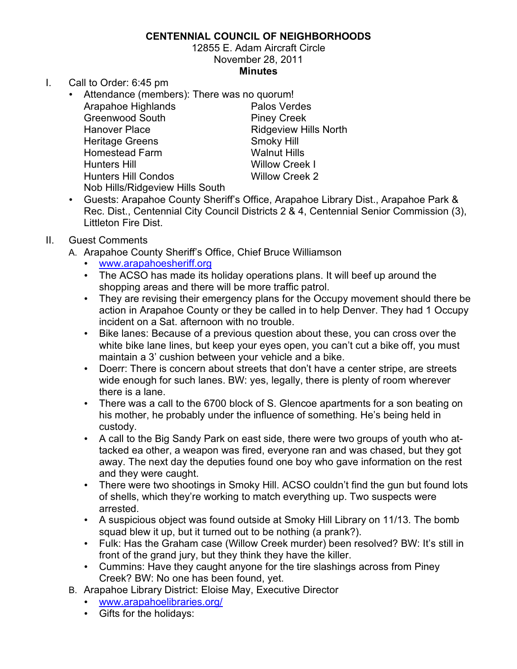## **CENTENNIAL COUNCIL OF NEIGHBORHOODS**

12855 E. Adam Aircraft Circle November 28, 2011 **Minutes**

- I. Call to Order: 6:45 pm
	- Attendance (members): There was no quorum! Arapahoe Highlands **Palos Verdes** Greenwood South Piney Creek Hanover Place **Ridgeview Hills North** Heritage Greens Smoky Hill Homestead Farm Walnut Hills Hunters Hill Willow Creek I Hunters Hill Condos Willow Creek 2 Nob Hills/Ridgeview Hills South
	- Guests: Arapahoe County Sheriff's Office, Arapahoe Library Dist., Arapahoe Park & Rec. Dist., Centennial City Council Districts 2 & 4, Centennial Senior Commission (3), Littleton Fire Dist.
- II. Guest Comments
	- A. Arapahoe County Sheriff's Office, Chief Bruce Williamson
		- www.arapahoesheriff.org
		- The ACSO has made its holiday operations plans. It will beef up around the shopping areas and there will be more traffic patrol.
		- They are revising their emergency plans for the Occupy movement should there be action in Arapahoe County or they be called in to help Denver. They had 1 Occupy incident on a Sat. afternoon with no trouble.
		- Bike lanes: Because of a previous question about these, you can cross over the white bike lane lines, but keep your eyes open, you can't cut a bike off, you must maintain a 3' cushion between your vehicle and a bike.
		- Doerr: There is concern about streets that don't have a center stripe, are streets wide enough for such lanes. BW: yes, legally, there is plenty of room wherever there is a lane.
		- There was a call to the 6700 block of S. Glencoe apartments for a son beating on his mother, he probably under the influence of something. He's being held in custody.
		- A call to the Big Sandy Park on east side, there were two groups of youth who attacked ea other, a weapon was fired, everyone ran and was chased, but they got away. The next day the deputies found one boy who gave information on the rest and they were caught.
		- There were two shootings in Smoky Hill. ACSO couldn't find the gun but found lots of shells, which they're working to match everything up. Two suspects were arrested.
		- A suspicious object was found outside at Smoky Hill Library on 11/13. The bomb squad blew it up, but it turned out to be nothing (a prank?).
		- Fulk: Has the Graham case (Willow Creek murder) been resolved? BW: It's still in front of the grand jury, but they think they have the killer.
		- Cummins: Have they caught anyone for the tire slashings across from Piney Creek? BW: No one has been found, yet.
	- B. Arapahoe Library District: Eloise May, Executive Director
		- www.arapahoelibraries.org/
		- Gifts for the holidays: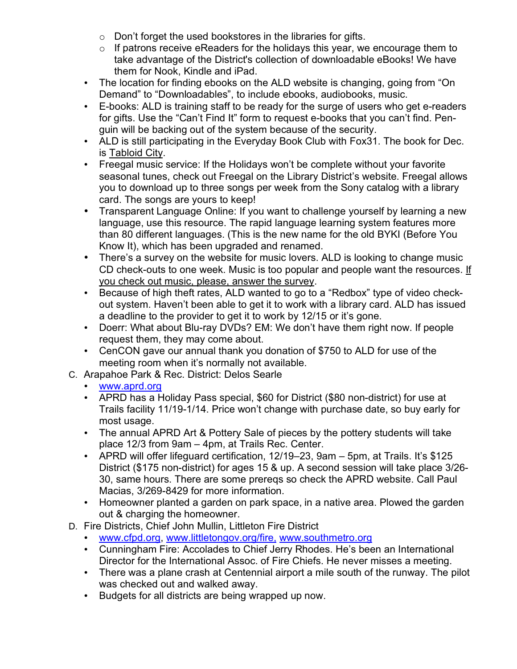- $\circ$  Don't forget the used bookstores in the libraries for gifts.
- $\circ$  If patrons receive eReaders for the holidays this year, we encourage them to take advantage of the District's collection of downloadable eBooks! We have them for Nook, Kindle and iPad.
- The location for finding ebooks on the ALD website is changing, going from "On Demand" to "Downloadables", to include ebooks, audiobooks, music.
- E-books: ALD is training staff to be ready for the surge of users who get e-readers for gifts. Use the "Can't Find It" form to request e-books that you can't find. Penguin will be backing out of the system because of the security.
- ALD is still participating in the Everyday Book Club with Fox31. The book for Dec. is Tabloid City.
- Freegal music service: If the Holidays won't be complete without your favorite seasonal tunes, check out Freegal on the Library District's website. Freegal allows you to download up to three songs per week from the Sony catalog with a library card. The songs are yours to keep!
- Transparent Language Online: If you want to challenge yourself by learning a new language, use this resource. The rapid language learning system features more than 80 different languages. (This is the new name for the old BYKI (Before You Know It), which has been upgraded and renamed.
- There's a survey on the website for music lovers. ALD is looking to change music CD check-outs to one week. Music is too popular and people want the resources. If you check out music, please, answer the survey.
- Because of high theft rates, ALD wanted to go to a "Redbox" type of video checkout system. Haven't been able to get it to work with a library card. ALD has issued a deadline to the provider to get it to work by 12/15 or it's gone.
- Doerr: What about Blu-ray DVDs? EM: We don't have them right now. If people request them, they may come about.
- CenCON gave our annual thank you donation of \$750 to ALD for use of the meeting room when it's normally not available.
- C. Arapahoe Park & Rec. District: Delos Searle
	- www.aprd.org
	- APRD has a Holiday Pass special, \$60 for District (\$80 non-district) for use at Trails facility 11/19-1/14. Price won't change with purchase date, so buy early for most usage.
	- The annual APRD Art & Pottery Sale of pieces by the pottery students will take place 12/3 from 9am – 4pm, at Trails Rec. Center.
	- APRD will offer lifeguard certification, 12/19–23, 9am 5pm, at Trails. It's \$125 District (\$175 non-district) for ages 15 & up. A second session will take place 3/26- 30, same hours. There are some prereqs so check the APRD website. Call Paul Macias, 3/269-8429 for more information.
	- Homeowner planted a garden on park space, in a native area. Plowed the garden out & charging the homeowner.
- D. Fire Districts, Chief John Mullin, Littleton Fire District
	- www.cfpd.org, www.littletongov.org/fire, www.southmetro.org
	- Cunningham Fire: Accolades to Chief Jerry Rhodes. He's been an International Director for the International Assoc. of Fire Chiefs. He never misses a meeting.
	- There was a plane crash at Centennial airport a mile south of the runway. The pilot was checked out and walked away.
	- Budgets for all districts are being wrapped up now.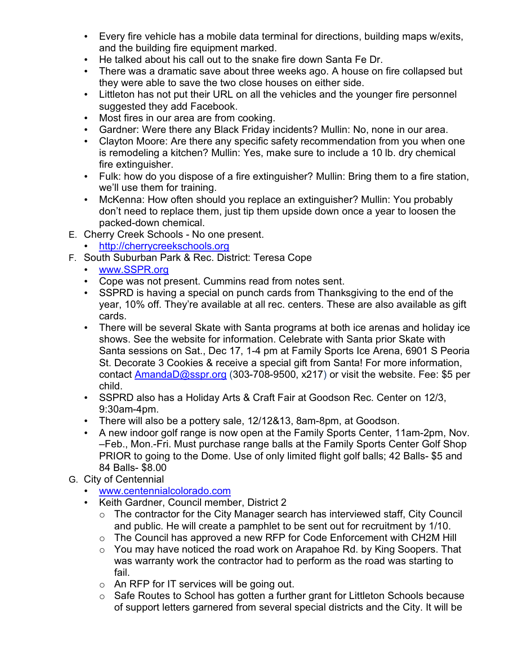- Every fire vehicle has a mobile data terminal for directions, building maps w/exits, and the building fire equipment marked.
- He talked about his call out to the snake fire down Santa Fe Dr.
- There was a dramatic save about three weeks ago. A house on fire collapsed but they were able to save the two close houses on either side.
- Littleton has not put their URL on all the vehicles and the younger fire personnel suggested they add Facebook.
- Most fires in our area are from cooking.
- Gardner: Were there any Black Friday incidents? Mullin: No, none in our area.
- Clayton Moore: Are there any specific safety recommendation from you when one is remodeling a kitchen? Mullin: Yes, make sure to include a 10 lb. dry chemical fire extinguisher.
- Fulk: how do you dispose of a fire extinguisher? Mullin: Bring them to a fire station, we'll use them for training.
- McKenna: How often should you replace an extinguisher? Mullin: You probably don't need to replace them, just tip them upside down once a year to loosen the packed-down chemical.
- E. Cherry Creek Schools No one present.
	- http://cherrycreekschools.org
- F. South Suburban Park & Rec. District: Teresa Cope
	- www.SSPR.org
	- Cope was not present. Cummins read from notes sent.
	- SSPRD is having a special on punch cards from Thanksgiving to the end of the year, 10% off. They're available at all rec. centers. These are also available as gift cards.
	- There will be several Skate with Santa programs at both ice arenas and holiday ice shows. See the website for information. Celebrate with Santa prior Skate with Santa sessions on Sat., Dec 17, 1-4 pm at Family Sports Ice Arena, 6901 S Peoria St. Decorate 3 Cookies & receive a special gift from Santa! For more information, contact AmandaD@sspr.org (303-708-9500, x217) or visit the website. Fee: \$5 per child.
	- SSPRD also has a Holiday Arts & Craft Fair at Goodson Rec. Center on 12/3, 9:30am-4pm.
	- There will also be a pottery sale, 12/12&13, 8am-8pm, at Goodson.
	- A new indoor golf range is now open at the Family Sports Center, 11am-2pm, Nov. –Feb., Mon.-Fri. Must purchase range balls at the Family Sports Center Golf Shop PRIOR to going to the Dome. Use of only limited flight golf balls; 42 Balls- \$5 and 84 Balls- \$8.00
- G. City of Centennial
	- www.centennialcolorado.com
	- Keith Gardner, Council member, District 2
		- o The contractor for the City Manager search has interviewed staff, City Council and public. He will create a pamphlet to be sent out for recruitment by 1/10.
		- o The Council has approved a new RFP for Code Enforcement with CH2M Hill
		- $\circ$  You may have noticed the road work on Arapahoe Rd. by King Soopers. That was warranty work the contractor had to perform as the road was starting to fail.
		- o An RFP for IT services will be going out.
		- o Safe Routes to School has gotten a further grant for Littleton Schools because of support letters garnered from several special districts and the City. It will be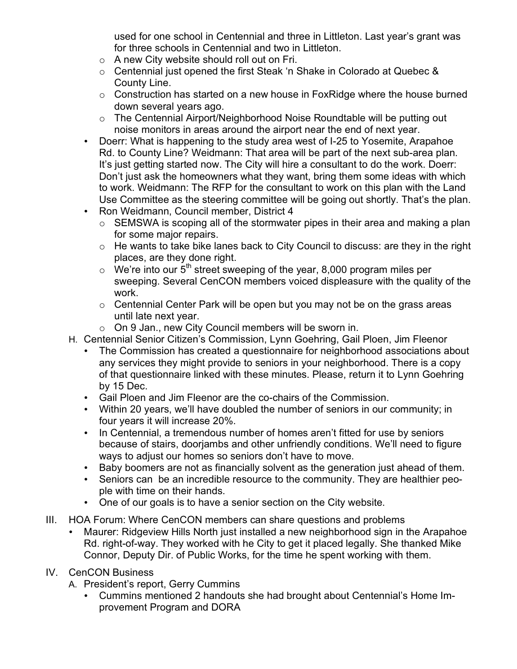used for one school in Centennial and three in Littleton. Last year's grant was for three schools in Centennial and two in Littleton.

- o A new City website should roll out on Fri.
- o Centennial just opened the first Steak 'n Shake in Colorado at Quebec & County Line.
- $\circ$  Construction has started on a new house in FoxRidge where the house burned down several years ago.
- o The Centennial Airport/Neighborhood Noise Roundtable will be putting out noise monitors in areas around the airport near the end of next year.
- Doerr: What is happening to the study area west of I-25 to Yosemite, Arapahoe Rd. to County Line? Weidmann: That area will be part of the next sub-area plan. It's just getting started now. The City will hire a consultant to do the work. Doerr: Don't just ask the homeowners what they want, bring them some ideas with which to work. Weidmann: The RFP for the consultant to work on this plan with the Land Use Committee as the steering committee will be going out shortly. That's the plan.
- Ron Weidmann, Council member, District 4
	- $\circ$  SEMSWA is scoping all of the stormwater pipes in their area and making a plan for some major repairs.
	- $\circ$  He wants to take bike lanes back to City Council to discuss: are they in the right places, are they done right.
	- $\circ$  We're into our 5<sup>th</sup> street sweeping of the year, 8,000 program miles per sweeping. Several CenCON members voiced displeasure with the quality of the work.
	- $\circ$  Centennial Center Park will be open but you may not be on the grass areas until late next year.
	- o On 9 Jan., new City Council members will be sworn in.
- H. Centennial Senior Citizen's Commission, Lynn Goehring, Gail Ploen, Jim Fleenor
	- The Commission has created a questionnaire for neighborhood associations about any services they might provide to seniors in your neighborhood. There is a copy of that questionnaire linked with these minutes. Please, return it to Lynn Goehring by 15 Dec.
	- Gail Ploen and Jim Fleenor are the co-chairs of the Commission.
	- Within 20 years, we'll have doubled the number of seniors in our community; in four years it will increase 20%.
	- In Centennial, a tremendous number of homes aren't fitted for use by seniors because of stairs, doorjambs and other unfriendly conditions. We'll need to figure ways to adjust our homes so seniors don't have to move.
	- Baby boomers are not as financially solvent as the generation just ahead of them.
	- Seniors can be an incredible resource to the community. They are healthier people with time on their hands.
	- One of our goals is to have a senior section on the City website.
- III. HOA Forum: Where CenCON members can share questions and problems
	- Maurer: Ridgeview Hills North just installed a new neighborhood sign in the Arapahoe Rd. right-of-way. They worked with he City to get it placed legally. She thanked Mike Connor, Deputy Dir. of Public Works, for the time he spent working with them.
- IV. CenCON Business
	- A. President's report, Gerry Cummins
		- Cummins mentioned 2 handouts she had brought about Centennial's Home Improvement Program and DORA